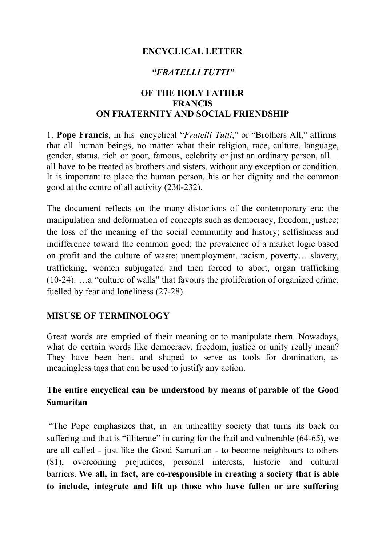## **ENCYCLICAL LETTER**

## *"FRATELLI TUTTI"*

#### **OF THE HOLY FATHER FRANCIS ON FRATERNITY AND SOCIAL FRIENDSHIP**

1. **Pope Francis**, in his encyclical "*Fratelli Tutti*," or "Brothers All," affirms that all human beings, no matter what their religion, race, culture, language, gender, status, rich or poor, famous, celebrity or just an ordinary person, all… all have to be treated as brothers and sisters, without any exception or condition. It is important to place the human person, his or her dignity and the common good at the centre of all activity (230-232).

The document reflects on the many distortions of the contemporary era: the manipulation and deformation of concepts such as democracy, freedom, justice; the loss of the meaning of the social community and history; selfishness and indifference toward the common good; the prevalence of a market logic based on profit and the culture of waste; unemployment, racism, poverty… slavery, trafficking, women subjugated and then forced to abort, organ trafficking (10-24). …a "culture of walls" that favours the proliferation of organized crime, fuelled by fear and loneliness (27-28).

#### **MISUSE OF TERMINOLOGY**

Great words are emptied of their meaning or to manipulate them. Nowadays, what do certain words like democracy, freedom, justice or unity really mean? They have been bent and shaped to serve as tools for domination, as meaningless tags that can be used to justify any action.

### **The entire encyclical can be understood by means of parable of the Good Samaritan**

"The Pope emphasizes that, in an unhealthy society that turns its back on suffering and that is "illiterate" in caring for the frail and vulnerable (64-65), we are all called - just like the Good Samaritan - to become neighbours to others (81), overcoming prejudices, personal interests, historic and cultural barriers. **We all, in fact, are co-responsible in creating a society that is able to include, integrate and lift up those who have fallen or are suffering**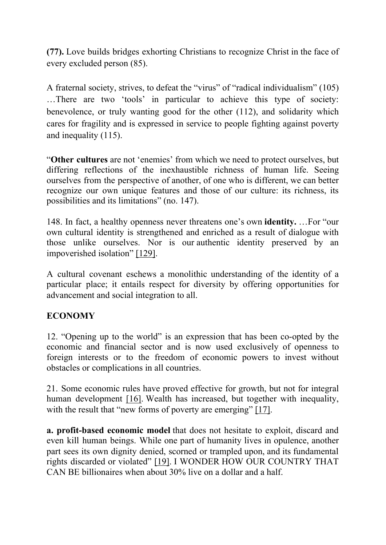**(77).** Love builds bridges exhorting Christians to recognize Christ in the face of every excluded person (85).

A fraternal society, strives, to defeat the "virus" of "radical individualism" (105) …There are two 'tools' in particular to achieve this type of society: benevolence, or truly wanting good for the other (112), and solidarity which cares for fragility and is expressed in service to people fighting against poverty and inequality (115).

"**Other cultures** are not 'enemies' from which we need to protect ourselves, but differing reflections of the inexhaustible richness of human life. Seeing ourselves from the perspective of another, of one who is different, we can better recognize our own unique features and those of our culture: its richness, its possibilities and its limitations" (no. 147).

148. In fact, a healthy openness never threatens one's own **identity.** …For "our own cultural identity is strengthened and enriched as a result of dialogue with those unlike ourselves. Nor is our authentic identity preserved by an impoverished isolation" [\[129\]](http://www.vatican.va/content/francesco/en/encyclicals/documents/papa-francesco_20201003_enciclica-fratelli-tutti.html#_ftn129).

A cultural covenant eschews a monolithic understanding of the identity of a particular place; it entails respect for diversity by offering opportunities for advancement and social integration to all.

# **ECONOMY**

12. "Opening up to the world" is an expression that has been co-opted by the economic and financial sector and is now used exclusively of openness to foreign interests or to the freedom of economic powers to invest without obstacles or complications in all countries.

21. Some economic rules have proved effective for growth, but not for integral human development [\[16\]](http://www.vatican.va/content/francesco/en/encyclicals/documents/papa-francesco_20201003_enciclica-fratelli-tutti.html#_ftn16). Wealth has increased, but together with inequality, with the result that "new forms of poverty are emerging" [\[17\]](http://www.vatican.va/content/francesco/en/encyclicals/documents/papa-francesco_20201003_enciclica-fratelli-tutti.html#_ftn17).

**a. profit-based economic model** that does not hesitate to exploit, discard and even kill human beings. While one part of humanity lives in opulence, another part sees its own dignity denied, scorned or trampled upon, and its fundamental rights discarded or violated" [\[19\].](http://www.vatican.va/content/francesco/en/encyclicals/documents/papa-francesco_20201003_enciclica-fratelli-tutti.html#_ftn19) I WONDER HOW OUR COUNTRY THAT CAN BE billionaires when about 30% live on a dollar and a half.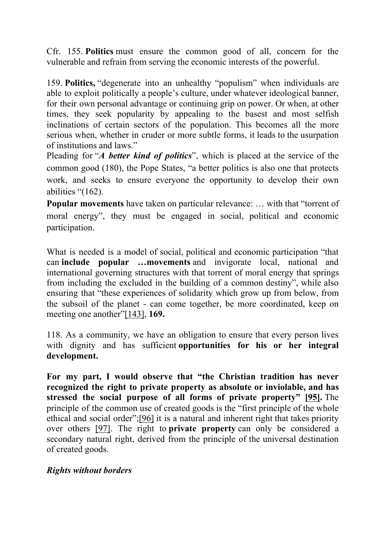Cfr. 155. **Politics** must ensure the common good of all, concern for the vulnerable and refrain from serving the economic interests of the powerful.

159. **Politics,** "degenerate into an unhealthy "populism" when individuals are able to exploit politically a people's culture, under whatever ideological banner, for their own personal advantage or continuing grip on power. Or when, at other times, they seek popularity by appealing to the basest and most selfish inclinations of certain sectors of the population. This becomes all the more serious when, whether in cruder or more subtle forms, it leads to the usurpation of institutions and laws."

Pleading for "*A better kind of politics*", which is placed at the service of the common good (180), the Pope States, "a better politics is also one that protects work, and seeks to ensure everyone the opportunity to develop their own abilities "(162).

**Popular movements** have taken on particular relevance: … with that "torrent of moral energy", they must be engaged in social, political and economic participation.

What is needed is a model of social, political and economic participation "that can **include popular …movements** and invigorate local, national and international governing structures with that torrent of moral energy that springs from including the excluded in the building of a common destiny", while also ensuring that "these experiences of solidarity which grow up from below, from the subsoil of the planet - can come together, be more coordinated, keep on meeting one another"[\[143\],](http://www.vatican.va/content/francesco/en/encyclicals/documents/papa-francesco_20201003_enciclica-fratelli-tutti.html#_ftn143) **169.**

118. As a community, we have an obligation to ensure that every person lives with dignity and has sufficient **opportunities for his or her integral development.**

**For my part, I would observe that "the Christian tradition has never recognized the right to private property as absolute or inviolable, and has stressed the social purpose of all forms of private property" [\[95\].](http://www.vatican.va/content/francesco/en/encyclicals/documents/papa-francesco_20201003_enciclica-fratelli-tutti.html#_ftn95)** The principle of the common use of created goods is the "first principle of the whole ethical and social order";[\[96\]](http://www.vatican.va/content/francesco/en/encyclicals/documents/papa-francesco_20201003_enciclica-fratelli-tutti.html#_ftn96) it is a natural and inherent right that takes priority over others [\[97\]](http://www.vatican.va/content/francesco/en/encyclicals/documents/papa-francesco_20201003_enciclica-fratelli-tutti.html#_ftn97). The right to **private property** can only be considered a secondary natural right, derived from the principle of the universal destination of created goods.

#### *Rights without borders*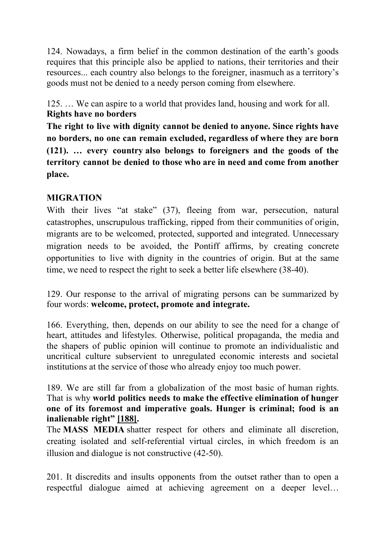124. Nowadays, a firm belief in the common destination of the earth's goods requires that this principle also be applied to nations, their territories and their resources... each country also belongs to the foreigner, inasmuch as a territory's goods must not be denied to a needy person coming from elsewhere.

125. … We can aspire to a world that provides land, housing and work for all. **Rights have no borders**

**The right to live with dignity cannot be denied to anyone. Since rights have no borders, no one can remain excluded, regardless of where they are born (121). … every country also belongs to foreigners and the goods of the territory cannot be denied to those who are in need and come from another place.**

## **MIGRATION**

With their lives "at stake" (37), fleeing from war, persecution, natural catastrophes, unscrupulous trafficking, ripped from their communities of origin, migrants are to be welcomed, protected, supported and integrated. Unnecessary migration needs to be avoided, the Pontiff affirms, by creating concrete opportunities to live with dignity in the countries of origin. But at the same time, we need to respect the right to seek a better life elsewhere (38-40).

129. Our response to the arrival of migrating persons can be summarized by four words: **welcome, protect, promote and integrate.**

166. Everything, then, depends on our ability to see the need for a change of heart, attitudes and lifestyles. Otherwise, political propaganda, the media and the shapers of public opinion will continue to promote an individualistic and uncritical culture subservient to unregulated economic interests and societal institutions at the service of those who already enjoy too much power.

189. We are still far from a globalization of the most basic of human rights. That is why **world politics needs to make the effective elimination of hunger one of its foremost and imperative goals. Hunger is criminal; food is an inalienable right" [\[188\].](http://www.vatican.va/content/francesco/en/encyclicals/documents/papa-francesco_20201003_enciclica-fratelli-tutti.html#_ftn188)**

The **MASS MEDIA** shatter respect for others and eliminate all discretion, creating isolated and self-referential virtual circles, in which freedom is an illusion and dialogue is not constructive (42-50).

201. It discredits and insults opponents from the outset rather than to open a respectful dialogue aimed at achieving agreement on a deeper level…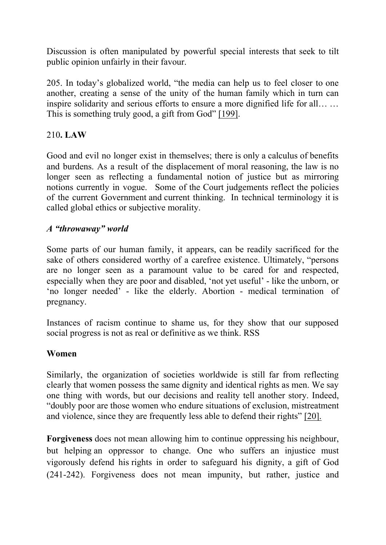Discussion is often manipulated by powerful special interests that seek to tilt public opinion unfairly in their favour.

205. In today's globalized world, "the media can help us to feel closer to one another, creating a sense of the unity of the human family which in turn can inspire solidarity and serious efforts to ensure a more dignified life for all… … This is something truly good, a gift from God" [\[199\].](http://www.vatican.va/content/francesco/en/encyclicals/documents/papa-francesco_20201003_enciclica-fratelli-tutti.html#_ftn199)

## 210**. LAW**

Good and evil no longer exist in themselves; there is only a calculus of benefits and burdens. As a result of the displacement of moral reasoning, the law is no longer seen as reflecting a fundamental notion of justice but as mirroring notions currently in vogue. Some of the Court judgements reflect the policies of the current Government and current thinking. In technical terminology it is called global ethics or subjective morality.

### *A "throwaway" world*

Some parts of our human family, it appears, can be readily sacrificed for the sake of others considered worthy of a carefree existence. Ultimately, "persons are no longer seen as a paramount value to be cared for and respected, especially when they are poor and disabled, 'not yet useful' - like the unborn, or 'no longer needed' - like the elderly. Abortion - medical termination of pregnancy.

Instances of racism continue to shame us, for they show that our supposed social progress is not as real or definitive as we think. RSS

#### **Women**

Similarly, the organization of societies worldwide is still far from reflecting clearly that women possess the same dignity and identical rights as men. We say one thing with words, but our decisions and reality tell another story. Indeed, "doubly poor are those women who endure situations of exclusion, mistreatment and violence, since they are frequently less able to defend their rights" [20].

**Forgiveness** does not mean allowing him to continue oppressing his neighbour, but helping an oppressor to change. One who suffers an injustice must vigorously defend his rights in order to safeguard his dignity, a gift of God (241-242). Forgiveness does not mean impunity, but rather, justice and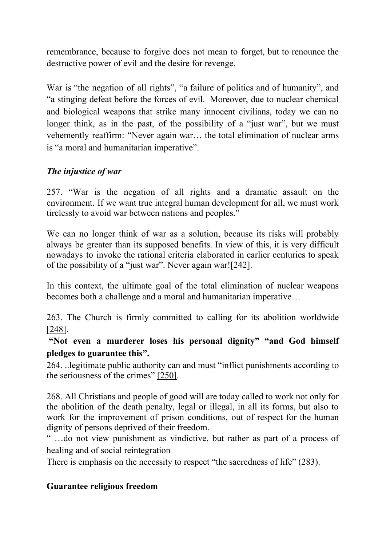remembrance, because to forgive does not mean to forget, but to renounce the destructive power of evil and the desire for revenge.

War is "the negation of all rights", "a failure of politics and of humanity", and "a stinging defeat before the forces of evil. Moreover, due to nuclear chemical and biological weapons that strike many innocent civilians, today we can no longer think, as in the past, of the possibility of a "just war", but we must vehemently reaffirm: "Never again war… the total elimination of nuclear arms is "a moral and humanitarian imperative".

## *The injustice of war*

257. "War is the negation of all rights and a dramatic assault on the environment. If we want true integral human development for all, we must work tirelessly to avoid war between nations and peoples."

We can no longer think of war as a solution, because its risks will probably always be greater than its supposed benefits. In view of this, it is very difficult nowadays to invoke the rational criteria elaborated in earlier centuries to speak of the possibility of a "just war". Never again war![\[242\].](http://www.vatican.va/content/francesco/en/encyclicals/documents/papa-francesco_20201003_enciclica-fratelli-tutti.html#_ftn242)

In this context, the ultimate goal of the total elimination of nuclear weapons becomes both a challenge and a moral and humanitarian imperative…

263. The Church is firmly committed to calling for its abolition worldwide [\[248\]](http://www.vatican.va/content/francesco/en/encyclicals/documents/papa-francesco_20201003_enciclica-fratelli-tutti.html#_ftn248).

**"Not even a murderer loses his personal dignity" "and God himself pledges to guarantee this".**

264. ..legitimate public authority can and must "inflict punishments according to the seriousness of the crimes" [\[250\]](http://www.vatican.va/content/francesco/en/encyclicals/documents/papa-francesco_20201003_enciclica-fratelli-tutti.html#_ftn250).

268. All Christians and people of good will are today called to work not only for the abolition of the death penalty, legal or illegal, in all its forms, but also to work for the improvement of prison conditions, out of respect for the human dignity of persons deprived of their freedom.

" …do not view punishment as vindictive, but rather as part of a process of healing and of social reintegration

There is emphasis on the necessity to respect "the sacredness of life" (283).

#### **Guarantee religious freedom**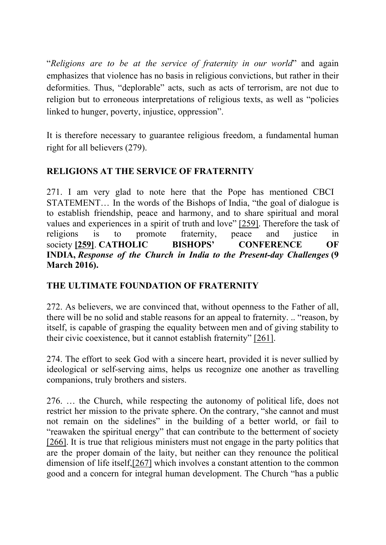"*Religions are to be at the service of fraternity in our world*" and again emphasizes that violence has no basis in religious convictions, but rather in their deformities. Thus, "deplorable" acts, such as acts of terrorism, are not due to religion but to erroneous interpretations of religious texts, as well as "policies linked to hunger, poverty, injustice, oppression".

It is therefore necessary to guarantee religious freedom, a fundamental human right for all believers (279).

## **RELIGIONS AT THE SERVICE OF FRATERNITY**

271. I am very glad to note here that the Pope has mentioned CBCI STATEMENT… In the words of the Bishops of India, "the goal of dialogue is to establish friendship, peace and harmony, and to share spiritual and moral values and experiences in a spirit of truth and love" [\[259\]](http://www.vatican.va/content/francesco/en/encyclicals/documents/papa-francesco_20201003_enciclica-fratelli-tutti.html#_ftn259). Therefore the task of religions is to promote fraternity, peace and justice in society **[\[259\]](http://www.vatican.va/content/francesco/en/encyclicals/documents/papa-francesco_20201003_enciclica-fratelli-tutti.html#_ftnref259)**. **CATHOLIC BISHOPS' CONFERENCE OF INDIA,** *Response of the Church in India to the Present-day Challenges* **(9 March 2016).**

# **THE ULTIMATE FOUNDATION OF FRATERNITY**

272. As believers, we are convinced that, without openness to the Father of all, there will be no solid and stable reasons for an appeal to fraternity. .. "reason, by itself, is capable of grasping the equality between men and of giving stability to their civic coexistence, but it cannot establish fraternity" [\[261\].](http://www.vatican.va/content/francesco/en/encyclicals/documents/papa-francesco_20201003_enciclica-fratelli-tutti.html#_ftn261)

274. The effort to seek God with a sincere heart, provided it is never sullied by ideological or self-serving aims, helps us recognize one another as travelling companions, truly brothers and sisters.

276. … the Church, while respecting the autonomy of political life, does not restrict her mission to the private sphere. On the contrary, "she cannot and must not remain on the sidelines" in the building of a better world, or fail to "reawaken the spiritual energy" that can contribute to the betterment of society [\[266\]](http://www.vatican.va/content/francesco/en/encyclicals/documents/papa-francesco_20201003_enciclica-fratelli-tutti.html#_ftn266). It is true that religious ministers must not engage in the party politics that are the proper domain of the laity, but neither can they renounce the political dimension of life itself[,\[267\]](http://www.vatican.va/content/francesco/en/encyclicals/documents/papa-francesco_20201003_enciclica-fratelli-tutti.html#_ftn267) which involves a constant attention to the common good and a concern for integral human development. The Church "has a public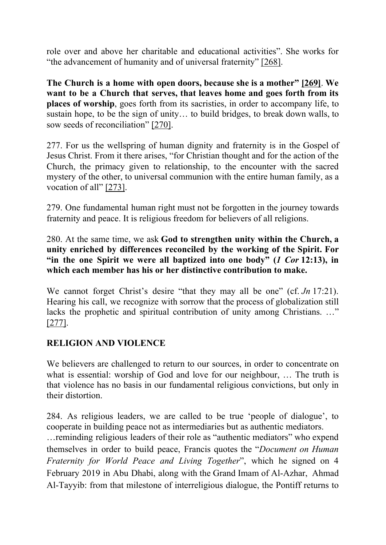role over and above her charitable and educational activities". She works for "the advancement of humanity and of universal fraternity" [\[268\].](http://www.vatican.va/content/francesco/en/encyclicals/documents/papa-francesco_20201003_enciclica-fratelli-tutti.html#_ftn268)

**The Church is a home with open doors, because she is a mother" [\[269\]](http://www.vatican.va/content/francesco/en/encyclicals/documents/papa-francesco_20201003_enciclica-fratelli-tutti.html#_ftn269)**. **We want to be a Church that serves, that leaves home and goes forth from its places of worship**, goes forth from its sacristies, in order to accompany life, to sustain hope, to be the sign of unity… to build bridges, to break down walls, to sow seeds of reconciliation" [\[270\]](http://www.vatican.va/content/francesco/en/encyclicals/documents/papa-francesco_20201003_enciclica-fratelli-tutti.html#_ftn270).

277. For us the wellspring of human dignity and fraternity is in the Gospel of Jesus Christ. From it there arises, "for Christian thought and for the action of the Church, the primacy given to relationship, to the encounter with the sacred mystery of the other, to universal communion with the entire human family, as a vocation of all" [\[273\].](http://www.vatican.va/content/francesco/en/encyclicals/documents/papa-francesco_20201003_enciclica-fratelli-tutti.html#_ftn273)

279. One fundamental human right must not be forgotten in the journey towards fraternity and peace. It is religious freedom for believers of all religions.

280. At the same time, we ask **God to strengthen unity within the Church, a unity enriched by differences reconciled by the working of the Spirit. For "in the one Spirit we were all baptized into one body" (***1 Cor* **12:13), in which each member has his or her distinctive contribution to make.**

We cannot forget Christ's desire "that they may all be one" (cf. *Jn* 17:21). Hearing his call, we recognize with sorrow that the process of globalization still lacks the prophetic and spiritual contribution of unity among Christians. …" [\[277\]](http://www.vatican.va/content/francesco/en/encyclicals/documents/papa-francesco_20201003_enciclica-fratelli-tutti.html#_ftn277).

### **RELIGION AND VIOLENCE**

We believers are challenged to return to our sources, in order to concentrate on what is essential: worship of God and love for our neighbour, … The truth is that violence has no basis in our fundamental religious convictions, but only in their distortion.

284. As religious leaders, we are called to be true 'people of dialogue', to cooperate in building peace not as intermediaries but as authentic mediators.

…reminding religious leaders of their role as "authentic mediators" who expend themselves in order to build peace, Francis quotes the "*Document on Human Fraternity for World Peace and Living Together*", which he signed on 4 February 2019 in Abu Dhabi, along with the Grand Imam of Al-Azhar, Ahmad Al-Tayyib: from that milestone of interreligious dialogue, the Pontiff returns to